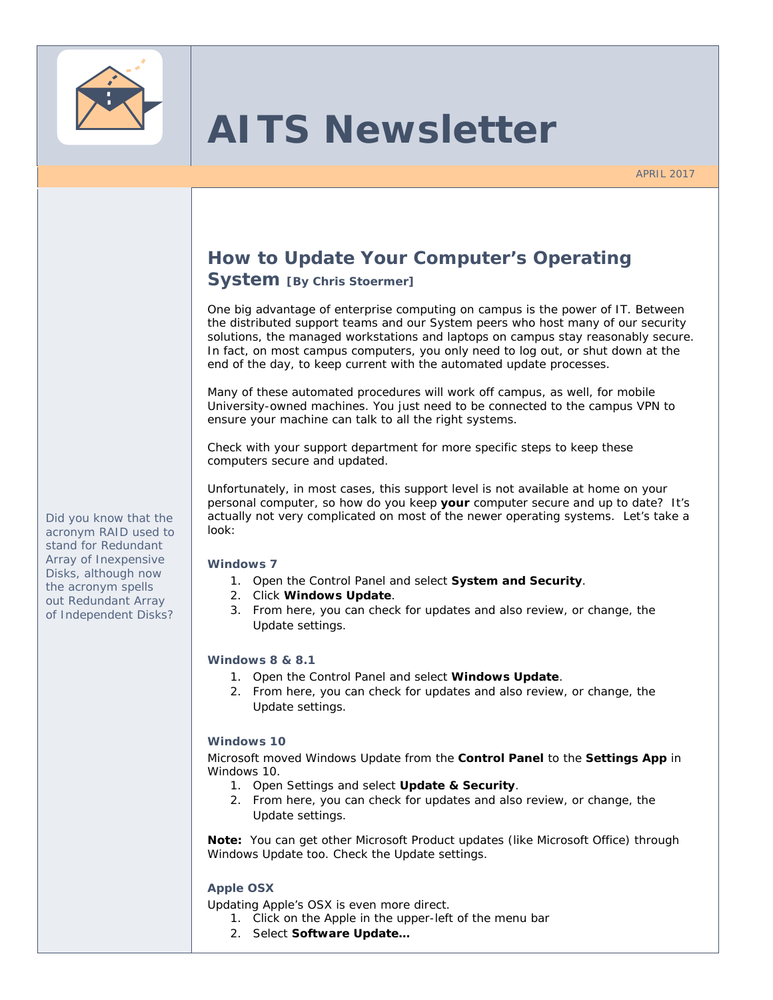

# **AITS Newsletter**

APRIL 2017

# **How to Update Your Computer's Operating**

## **System [By Chris Stoermer]**

One big advantage of enterprise computing on campus is the power of IT. Between the distributed support teams and our System peers who host many of our security solutions, the managed workstations and laptops on campus stay reasonably secure. In fact, on most campus computers, you only need to log out, or shut down at the end of the day, to keep current with the automated update processes.

Many of these automated procedures will work off campus, as well, for mobile University-owned machines. You just need to be connected to the campus VPN to ensure your machine can talk to all the right systems.

Check with your support department for more specific steps to keep these computers secure and updated.

*Unfortunately, in most cases, this support level is not available at home on your personal computer, so how do you keep your computer secure and up to date? It's actually not very complicated on most of the newer operating systems. Let's take a look:* 

#### **Windows 7**

- 1. Open the Control Panel and select **System and Security**.
- 2. Click **Windows Update**.
- 3. From here, you can check for updates and also review, or change, the Update settings.

## **Windows 8 & 8.1**

- 1. Open the Control Panel and select **Windows Update**.
- 2. From here, you can check for updates and also review, or change, the Update settings.

#### **Windows 10**

Microsoft moved Windows Update from the *Control Panel* to the *Settings App* in Windows 10.

- 1. Open Settings and select **Update & Security**.
- 2. From here, you can check for updates and also review, or change, the Update settings.

**Note:** You can get other Microsoft Product updates (like Microsoft Office) through Windows Update too. Check the Update settings.

## **Apple OSX**

Updating Apple's OSX is even more direct.

- 1. Click on the Apple in the upper-left of the menu bar
- 2. Select **Software Update…**

*Did you know that the acronym RAID used to stand for Redundant Array of Inexpensive Disks, although now the acronym spells out Redundant Array of Independent Disks?*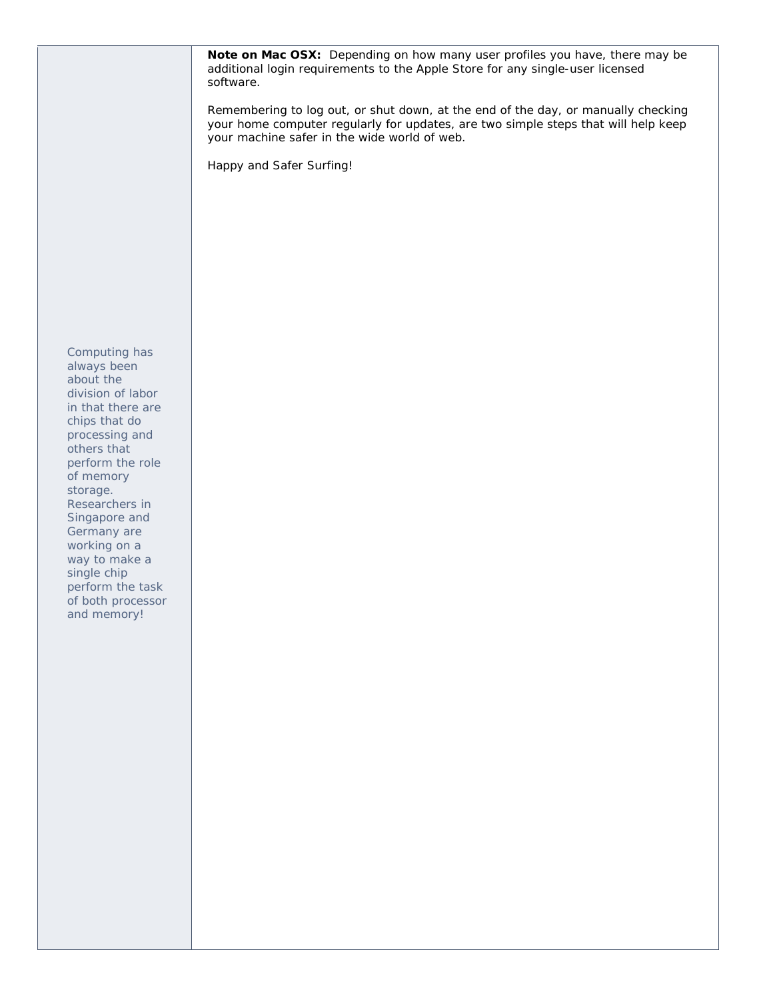*Computing has always been about the division of labor in that there are chips that do processing and others that perform the role of memory storage. Researchers in Singapore and Germany are working on a way to make a single chip perform the task of both processor and memory!*  **Note on Mac OSX:** Depending on how many user profiles you have, there may be additional login requirements to the Apple Store for any single-user licensed software. Remembering to log out, or shut down, at the end of the day, or manually checking your home computer regularly for updates, are two simple steps that will help keep your machine safer in the wide world of web. Happy and Safer Surfing!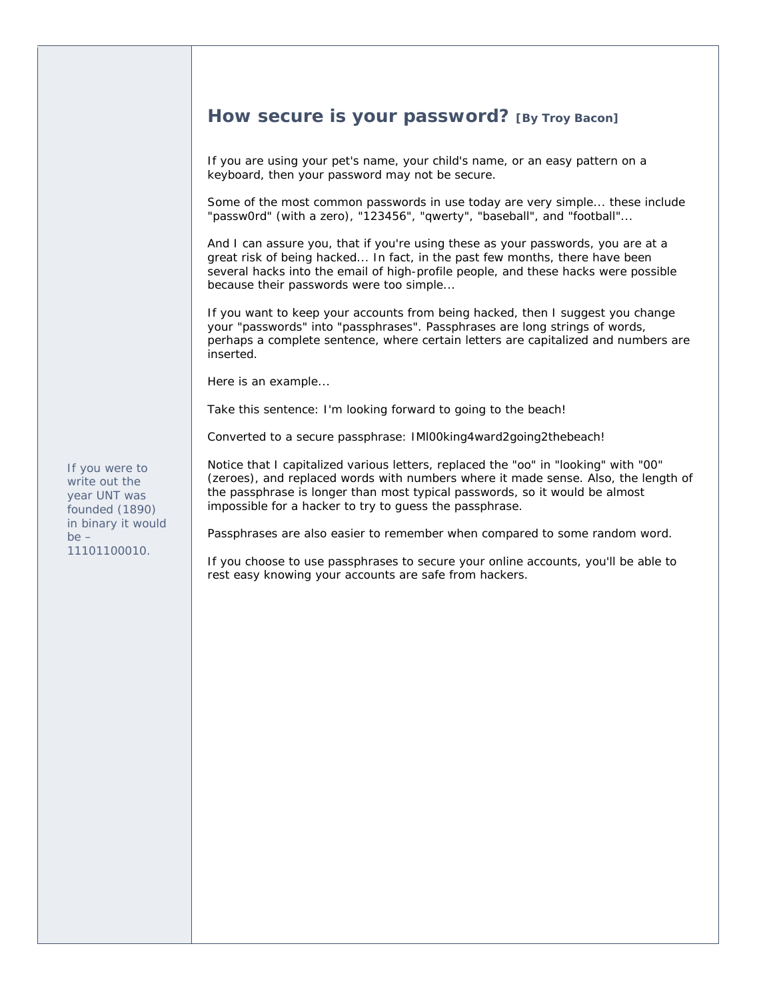## **How secure is your password? [By Troy Bacon]**

If you are using your pet's name, your child's name, or an easy pattern on a keyboard, then your password may not be secure.

Some of the most common passwords in use today are very simple... these include "passw0rd" (with a zero), "123456", "qwerty", "baseball", and "football"...

And I can assure you, that if you're using these as your passwords, you are at a great risk of being hacked... In fact, in the past few months, there have been several hacks into the email of high-profile people, and these hacks were possible because their passwords were too simple...

If you want to keep your accounts from being hacked, then I suggest you change your "passwords" into "passphrases". Passphrases are long strings of words, perhaps a complete sentence, where certain letters are capitalized and numbers are inserted.

Here is an example...

Take this sentence: *I'm looking forward to going to the beach!* 

Converted to a secure passphrase: *IMl00king4ward2going2thebeach!*

*If you were to write out the year UNT was founded (1890) in binary it would be – 11101100010.* 

Notice that I capitalized various letters, replaced the "oo" in "looking" with "00" (zeroes), and replaced words with numbers where it made sense. Also, the length of the passphrase is longer than most typical passwords, so it would be almost impossible for a hacker to try to guess the passphrase.

Passphrases are also easier to remember when compared to some random word.

If you choose to use passphrases to secure your online accounts, you'll be able to rest easy knowing your accounts are safe from hackers.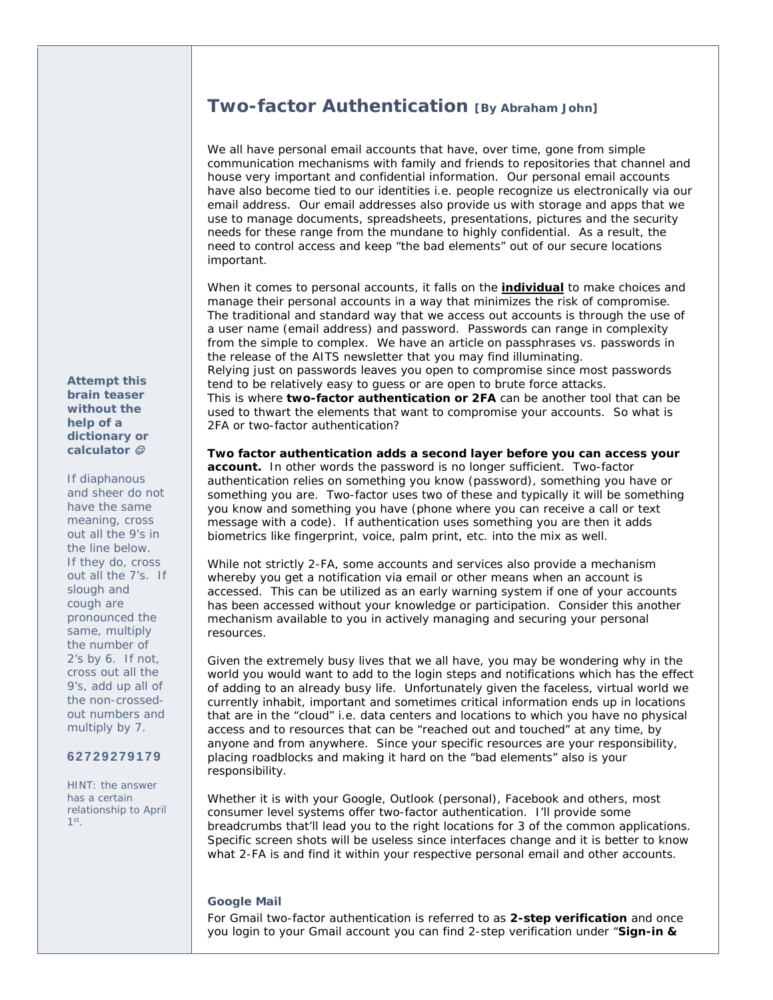## **Two-factor Authentication [By Abraham John]**

We all have personal email accounts that have, over time, gone from simple communication mechanisms with family and friends to repositories that channel and house very important and confidential information. Our personal email accounts have also become tied to our identities i.e. people recognize us electronically via our email address. Our email addresses also provide us with storage and apps that we use to manage documents, spreadsheets, presentations, pictures and the security needs for these range from the mundane to highly confidential. As a result, the need to control access and keep "the bad elements" out of our secure locations important.

When it comes to personal accounts, it falls on the **individual** to make choices and manage their personal accounts in a way that minimizes the risk of compromise. The traditional and standard way that we access out accounts is through the use of a user name (email address) and password. Passwords can range in complexity from the simple to complex. We have an article on passphrases vs. passwords in the release of the AITS newsletter that you may find illuminating. Relying just on passwords leaves you open to compromise since most passwords tend to be relatively easy to guess or are open to brute force attacks. This is where **two-factor authentication or 2FA** can be another tool that can be used to thwart the elements that want to compromise your accounts. So what is 2FA or two-factor authentication?

*Two factor authentication adds a second layer before you can access your account.* In other words the password is no longer sufficient. Two-factor authentication relies on something you know (password), something you have or something you are. Two-factor uses two of these and typically it will be something you know and something you have (phone where you can receive a call or text message with a code). If authentication uses something you are then it adds biometrics like fingerprint, voice, palm print, etc. into the mix as well.

While not strictly 2-FA, some accounts and services also provide a mechanism whereby you get a notification via email or other means when an account is accessed. This can be utilized as an early warning system if one of your accounts has been accessed without your knowledge or participation. Consider this another mechanism available to you in actively managing and securing your personal resources.

Given the extremely busy lives that we all have, you may be wondering why in the world you would want to add to the login steps and notifications which has the effect of adding to an already busy life. Unfortunately given the faceless, virtual world we currently inhabit, important and sometimes critical information ends up in locations that are in the "cloud" i.e. data centers and locations to which you have no physical access and to resources that can be "reached out and touched" at any time, by anyone and from anywhere. Since your specific resources are your responsibility, placing roadblocks and making it hard on the "bad elements" also is your responsibility.

Whether it is with your Google, Outlook (personal), Facebook and others, most consumer level systems offer two-factor authentication. I'll provide some breadcrumbs that'll lead you to the right locations for 3 of the common applications. Specific screen shots will be useless since interfaces change and it is better to know what 2-FA is and find it within your respective personal email and other accounts.

#### **Google Mail**

For Gmail two-factor authentication is referred to as **2-step verification** and once you login to your Gmail account you can find 2-step verification under "**Sign-in &** 

*Attempt this brain teaser without the help of a dictionary or calculator* 

*If diaphanous and sheer do not have the same meaning, cross out all the 9's in the line below. If they do, cross out all the 7's. If slough and cough are pronounced the same, multiply the number of 2's by 6. If not, cross out all the 9's, add up all of the non-crossedout numbers and multiply by 7.* 

**6 2 7 2 9 2 7 9 1 7 9**

*HINT: the answer has a certain relationship to April 1st.*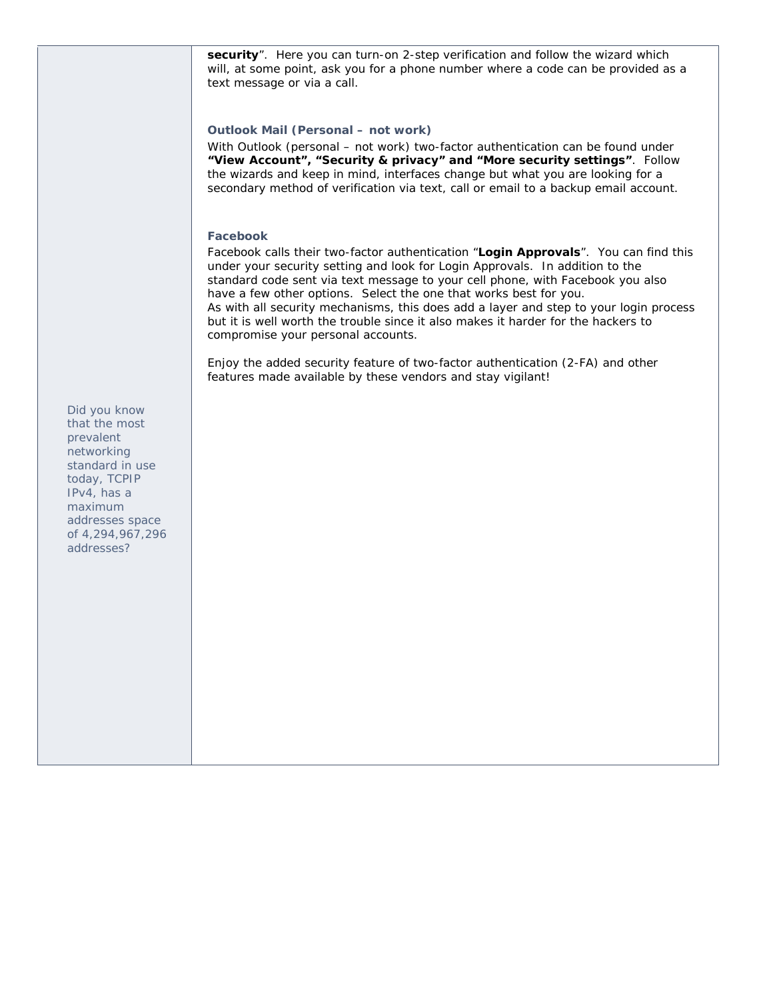security". Here you can turn-on 2-step verification and follow the wizard which will, at some point, ask you for a phone number where a code can be provided as a text message or via a call.

### **Outlook Mail (Personal – not work)**

With Outlook (personal – not work) two-factor authentication can be found under **"View Account", "Security & privacy" and "More security settings"**. Follow the wizards and keep in mind, interfaces change but what you are looking for a secondary method of verification via text, call or email to a backup email account.

#### **Facebook**

Facebook calls their two-factor authentication "**Login Approvals**". You can find this under your security setting and look for Login Approvals. In addition to the standard code sent via text message to your cell phone, with Facebook you also have a few other options. Select the one that works best for you. As with all security mechanisms, this does add a layer and step to your login process but it is well worth the trouble since it also makes it harder for the hackers to compromise your personal accounts.

Enjoy the added security feature of two-factor authentication (2-FA) and other features made available by these vendors and stay vigilant!

*Did you know that the most prevalent networking standard in use today, TCPIP IPv4, has a maximum addresses space of 4,294,967,296 addresses?*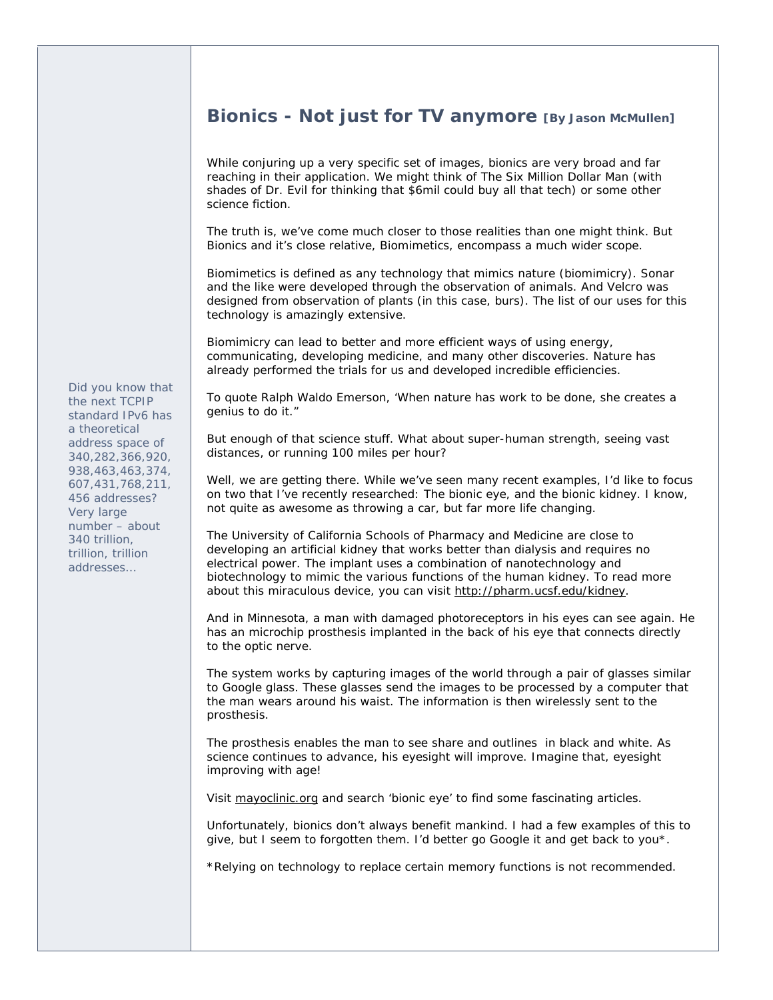## **Bionics - Not just for TV anymore [By Jason McMullen]**

While conjuring up a very specific set of images, bionics are very broad and far reaching in their application. We might think of The Six Million Dollar Man (with shades of Dr. Evil for thinking that \$6mil could buy all that tech) or some other science fiction.

The truth is, we've come much closer to those realities than one might think. But Bionics and it's close relative, Biomimetics, encompass a much wider scope.

Biomimetics is defined as any technology that mimics nature (biomimicry). Sonar and the like were developed through the observation of animals. And Velcro was designed from observation of plants (in this case, burs). The list of our uses for this technology is amazingly extensive.

Biomimicry can lead to better and more efficient ways of using energy, communicating, developing medicine, and many other discoveries. Nature has already performed the trials for us and developed incredible efficiencies.

To quote Ralph Waldo Emerson, 'When nature has work to be done, she creates a genius to do it."

But enough of that science stuff. What about super-human strength, seeing vast distances, or running 100 miles per hour?

Well, we are getting there. While we've seen many recent examples, I'd like to focus on two that I've recently researched: The bionic eye, and the bionic kidney. I know, not quite as awesome as throwing a car, but far more life changing.

The University of California Schools of Pharmacy and Medicine are close to developing an artificial kidney that works better than dialysis and requires no electrical power. The implant uses a combination of nanotechnology and biotechnology to mimic the various functions of the human kidney. To read more about this miraculous device, you can visit http://pharm.ucsf.edu/kidney.

And in Minnesota, a man with damaged photoreceptors in his eyes can see again. He has an microchip prosthesis implanted in the back of his eye that connects directly to the optic nerve.

The system works by capturing images of the world through a pair of glasses similar to Google glass. These glasses send the images to be processed by a computer that the man wears around his waist. The information is then wirelessly sent to the prosthesis.

The prosthesis enables the man to see share and outlines in black and white. As science continues to advance, his eyesight will improve. Imagine that, eyesight improving with age!

Visit mayoclinic.org and search 'bionic eye' to find some fascinating articles.

Unfortunately, bionics don't always benefit mankind. I had a few examples of this to give, but I seem to forgotten them. I'd better go Google it and get back to you\*.

\*Relying on technology to replace certain memory functions is not recommended.

*Did you know that the next TCPIP standard IPv6 has a theoretical address space of 340,282,366,920, 938,463,463,374, 607,431,768,211, 456 addresses? Very large number – about 340 trillion, trillion, trillion addresses…*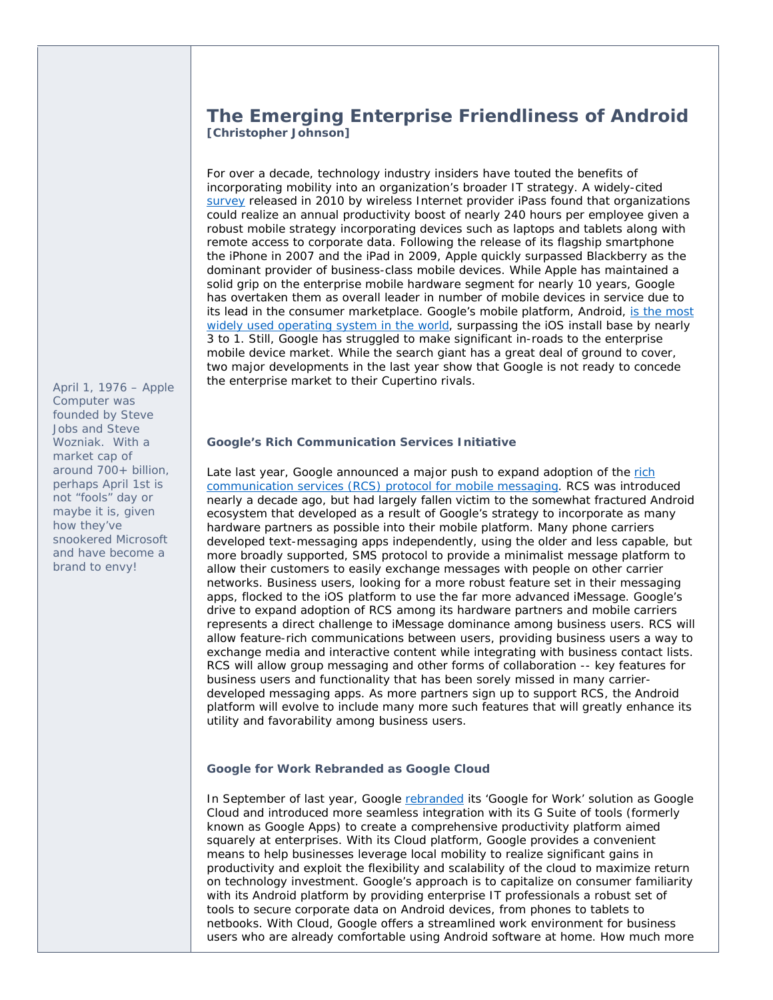## **The Emerging Enterprise Friendliness of Android [Christopher Johnson]**

For over a decade, technology industry insiders have touted the benefits of incorporating mobility into an organization's broader IT strategy. A widely-cited survey released in 2010 by wireless Internet provider iPass found that organizations could realize an annual productivity boost of nearly 240 hours per employee given a robust mobile strategy incorporating devices such as laptops and tablets along with remote access to corporate data. Following the release of its flagship smartphone the iPhone in 2007 and the iPad in 2009, Apple quickly surpassed Blackberry as the dominant provider of business-class mobile devices. While Apple has maintained a solid grip on the enterprise mobile hardware segment for nearly 10 years, Google has overtaken them as overall leader in number of mobile devices in service due to its lead in the consumer marketplace. Google's mobile platform, Android, is the most widely used operating system in the world, surpassing the iOS install base by nearly 3 to 1. Still, Google has struggled to make significant in-roads to the enterprise mobile device market. While the search giant has a great deal of ground to cover, two major developments in the last year show that Google is not ready to concede the enterprise market to their Cupertino rivals.

**Google's Rich Communication Services Initiative** 

Late last year, Google announced a major push to expand adoption of the rich communication services (RCS) protocol for mobile messaging. RCS was introduced nearly a decade ago, but had largely fallen victim to the somewhat fractured Android ecosystem that developed as a result of Google's strategy to incorporate as many hardware partners as possible into their mobile platform. Many phone carriers developed text-messaging apps independently, using the older and less capable, but more broadly supported, SMS protocol to provide a minimalist message platform to allow their customers to easily exchange messages with people on other carrier networks. Business users, looking for a more robust feature set in their messaging apps, flocked to the iOS platform to use the far more advanced iMessage. Google's drive to expand adoption of RCS among its hardware partners and mobile carriers represents a direct challenge to iMessage dominance among business users. RCS will allow feature-rich communications between users, providing business users a way to exchange media and interactive content while integrating with business contact lists. RCS will allow group messaging and other forms of collaboration -- key features for business users and functionality that has been sorely missed in many carrierdeveloped messaging apps. As more partners sign up to support RCS, the Android platform will evolve to include many more such features that will greatly enhance its utility and favorability among business users.

**Google for Work Rebranded as Google Cloud** 

In September of last year, Google rebranded its 'Google for Work' solution as Google Cloud and introduced more seamless integration with its G Suite of tools (formerly known as Google Apps) to create a comprehensive productivity platform aimed squarely at enterprises. With its Cloud platform, Google provides a convenient means to help businesses leverage local mobility to realize significant gains in productivity and exploit the flexibility and scalability of the cloud to maximize return on technology investment. Google's approach is to capitalize on consumer familiarity with its Android platform by providing enterprise IT professionals a robust set of tools to secure corporate data on Android devices, from phones to tablets to netbooks. With Cloud, Google offers a streamlined work environment for business users who are already comfortable using Android software at home. How much more

*April 1, 1976 – Apple Computer was founded by Steve Jobs and Steve Wozniak. With a market cap of around 700+ billion, perhaps April 1st is not "fools" day or maybe it is, given how they've snookered Microsoft and have become a brand to envy!*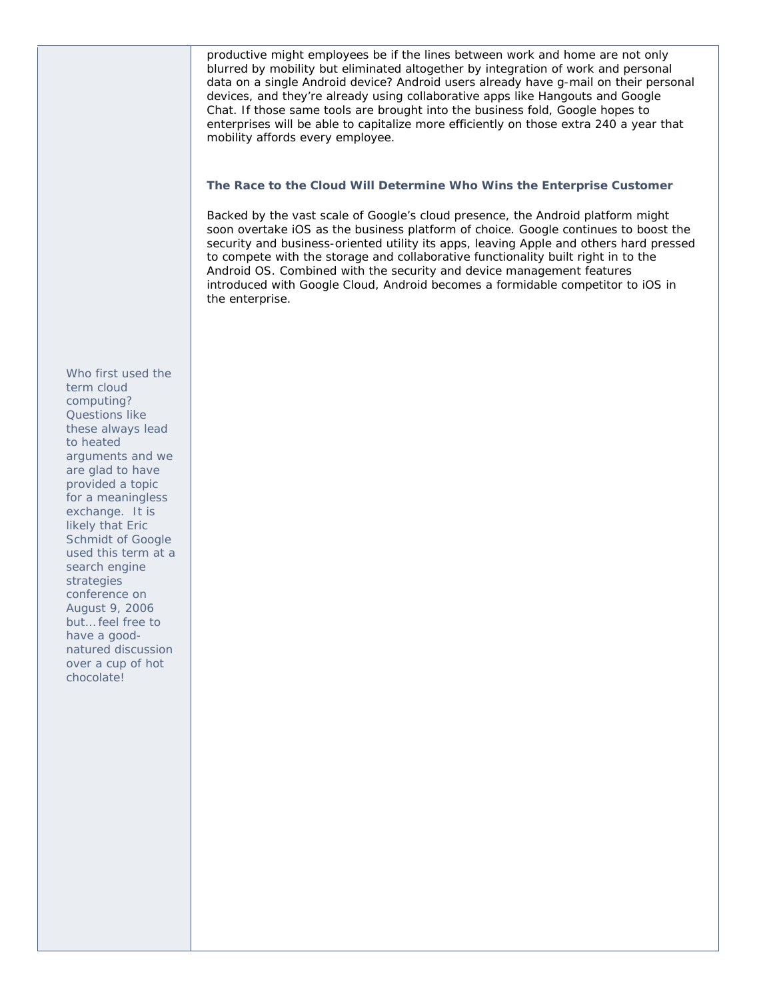productive might employees be if the lines between work and home are not only blurred by mobility but eliminated altogether by integration of work and personal data on a single Android device? Android users already have g-mail on their personal devices, and they're already using collaborative apps like Hangouts and Google Chat. If those same tools are brought into the business fold, Google hopes to enterprises will be able to capitalize more efficiently on those extra 240 a year that mobility affords every employee.

#### **The Race to the Cloud Will Determine Who Wins the Enterprise Customer**

Backed by the vast scale of Google's cloud presence, the Android platform might soon overtake iOS as the business platform of choice. Google continues to boost the security and business-oriented utility its apps, leaving Apple and others hard pressed to compete with the storage and collaborative functionality built right in to the Android OS. Combined with the security and device management features introduced with Google Cloud, Android becomes a formidable competitor to iOS in the enterprise.

*Who first used the term cloud computing? Questions like these always lead to heated arguments and we are glad to have provided a topic for a meaningless exchange. It is likely that Eric Schmidt of Google used this term at a search engine strategies conference on August 9, 2006 but… feel free to have a goodnatured discussion over a cup of hot chocolate!*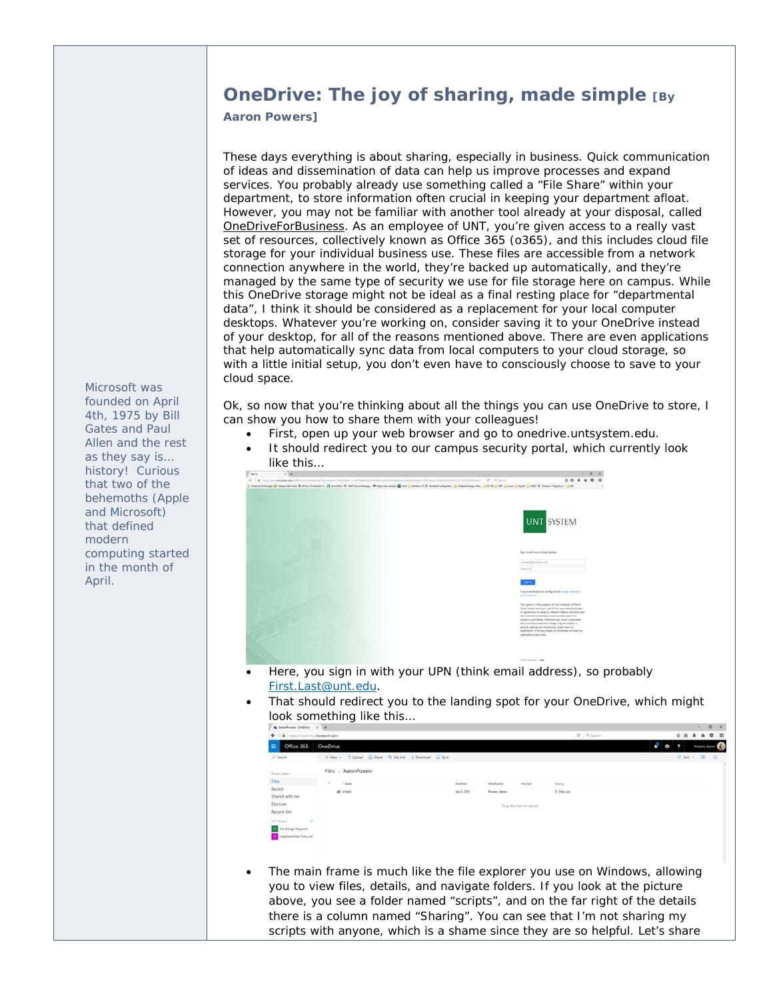# **OneDrive: The joy of sharing, made simple [By**

**Aaron Powers]** 

These days everything is about sharing, especially in business. Quick communication of ideas and dissemination of data can help us improve processes and expand services. You probably already use something called a "File Share" within your department, to store information often crucial in keeping your department afloat. However, you may not be familiar with another tool already at your disposal, called OneDriveForBusiness. As an employee of UNT, you're given access to a really vast set of resources, collectively known as Office 365 (o365), and this includes cloud file storage for your individual business use. These files are accessible from a network connection anywhere in the world, they're backed up automatically, and they're managed by the same type of security we use for file storage here on campus. While this OneDrive storage might not be ideal as a final resting place for "departmental data", I think it should be considered as a replacement for your local computer desktops. Whatever you're working on, consider saving it to your OneDrive instead of your desktop, for all of the reasons mentioned above. There are even applications that help automatically sync data from local computers to your cloud storage, so with a little initial setup, you don't even have to consciously choose to save to your cloud space.

Ok, so now that you're thinking about all the things you can use OneDrive to store, I can show you how to share them with your colleagues!

- First, open up your web browser and go to onedrive.untsystem.edu.
- It should redirect you to our campus security portal, which currently look like this…



- First.Last@unt.edu.
- That should redirect you to the landing spot for your OneDrive, which might look something like this…

| G interactivalent my sharepoint com-<br>$+1$ |                                                          |             |                                   |                            | $\sigma = 0$ , Search |    | <b>QO 4 8 0 8</b>               |
|----------------------------------------------|----------------------------------------------------------|-------------|-----------------------------------|----------------------------|-----------------------|----|---------------------------------|
| Office 365<br>田                              | <b>OneDrive</b>                                          |             |                                   |                            |                       | x, | 0 <sub>2</sub><br>Powers, Aaron |
| D Search<br><b>Contract Contract</b>         | + New v + Elpicad Ca Share Ro Gettink + Download Ca Sync |             |                                   |                            |                       |    | $17$ Set $\vee$ E $\circ$       |
| Powers Agree                                 | Files > AaronPowers                                      |             |                                   |                            |                       |    |                                 |
| $_{\rm{Thes}}$                               | w.<br><b>Louis</b>                                       | ModFord     | <b><i><u>Alloginad Bo</u></i></b> | File Size                  | <b>Shering</b>        |    |                                 |
| Recent<br>Shared with me<br>Discover         | at sress                                                 | Adu 3, 2015 | <b>Pewer, Aaron</b>               | Drag files here to upload. | B. Only you           |    |                                 |
| Recycle bin                                  |                                                          |             |                                   |                            |                       |    |                                 |
| UNT System<br>$+$                            |                                                          |             |                                   |                            |                       |    |                                 |
| <b>The Storage Migration</b>                 |                                                          |             |                                   |                            |                       |    |                                 |
| Implement New Policy Set                     |                                                          |             |                                   |                            |                       |    |                                 |

 The main frame is much like the file explorer you use on Windows, allowing you to view files, details, and navigate folders. If you look at the picture above, you see a folder named "scripts", and on the far right of the details there is a column named "Sharing". You can see that I'm not sharing my scripts with anyone, which is a shame since they are so helpful. Let's share

*Microsoft was founded on April 4th, 1975 by Bill Gates and Paul Allen and the rest as they say is… history! Curious that two of the behemoths (Apple and Microsoft) that defined modern computing started in the month of April.*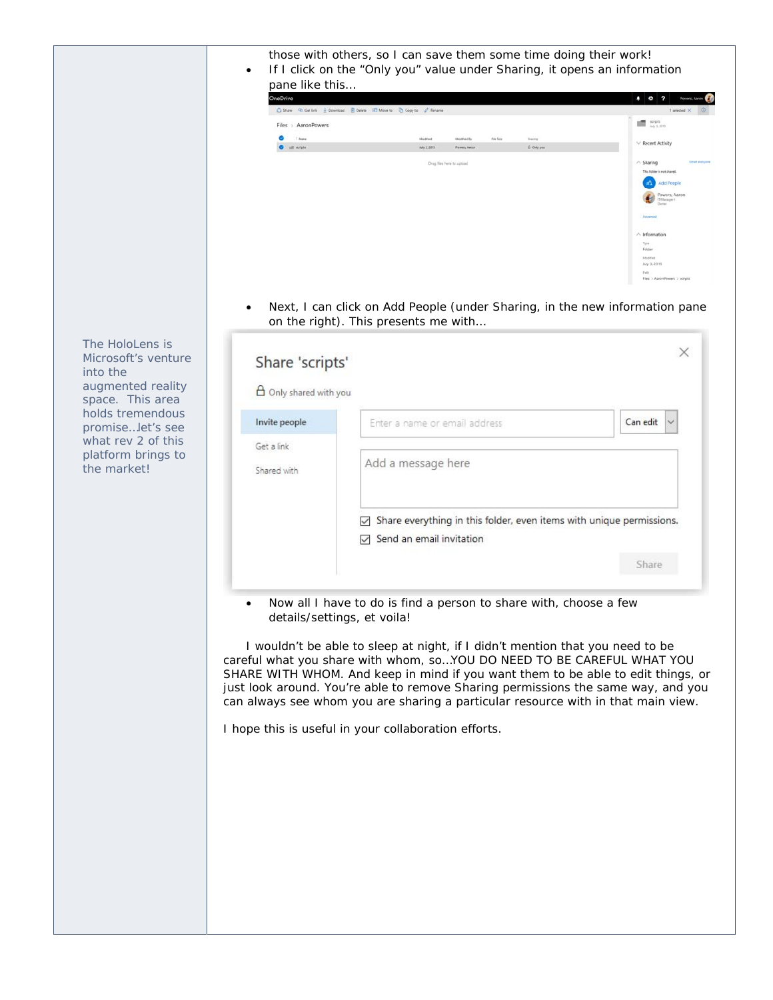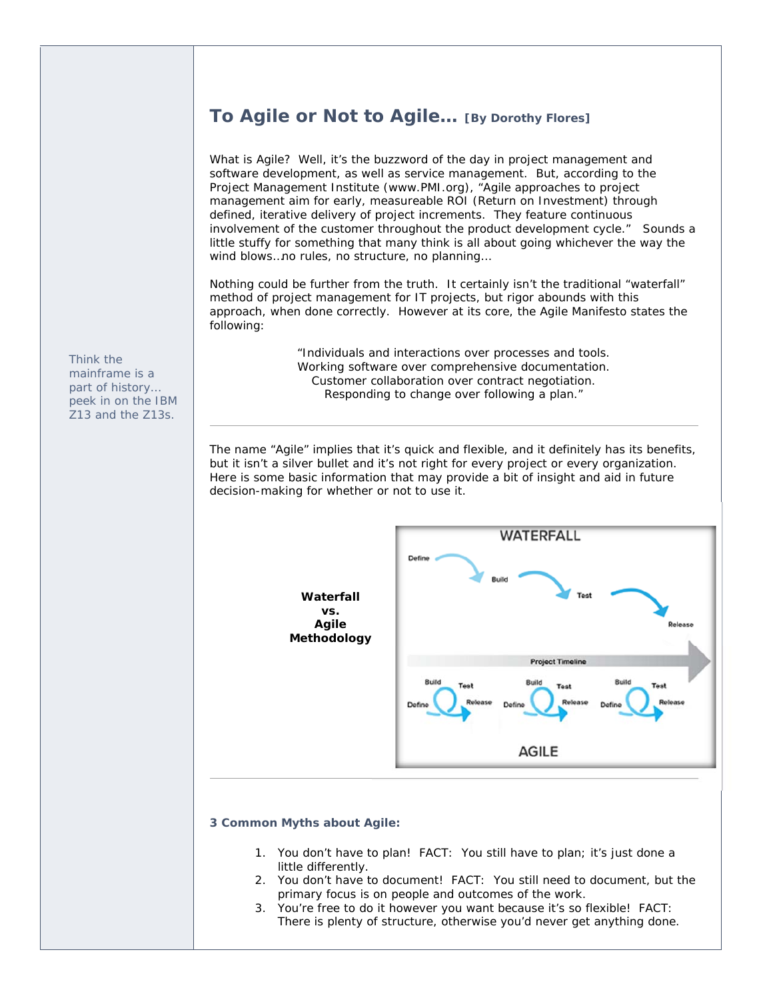## **To Agile or Not to Agile… [By Dorothy Flores]**

What is Agile? Well, it's the buzzword of the day in project management and software development, as well as service management. But, according to the Project Management Institute (www.PMI.org), "Agile approaches to project management aim for early, measureable ROI (Return on Investment) through defined, iterative delivery of project increments. They feature continuous involvement of the customer throughout the product development cycle." Sounds a little stuffy for something that many think is all about going whichever the way the wind blows…no rules, no structure, no planning…

Nothing could be further from the truth. It certainly isn't the traditional "waterfall" method of project management for IT projects, but rigor abounds with this approach, when done correctly. However at its core, the Agile Manifesto states the following:

> "*Individuals and interactions over processes and tools. Working software over comprehensive documentation. Customer collaboration over contract negotiation. Responding to change over following a plan.*"

The name "Agile" implies that it's quick and flexible, and it definitely has its benefits, but it isn't a silver bullet and it's not right for every project or every organization. Here is some basic information that may provide a bit of insight and aid in future decision-making for whether or not to use it.



#### **3 Common Myths about Agile:**

- 1. You don't have to plan! FACT: You still have to plan; it's just done a little differently.
- 2. You don't have to document! FACT: You still need to document, but the primary focus is on people and outcomes of the work.
- 3. You're free to do it however you want because it's so flexible! FACT: There is plenty of structure, otherwise you'd never get anything done.

*Think the mainframe is a part of history… peek in on the IBM Z13 and the Z13s.*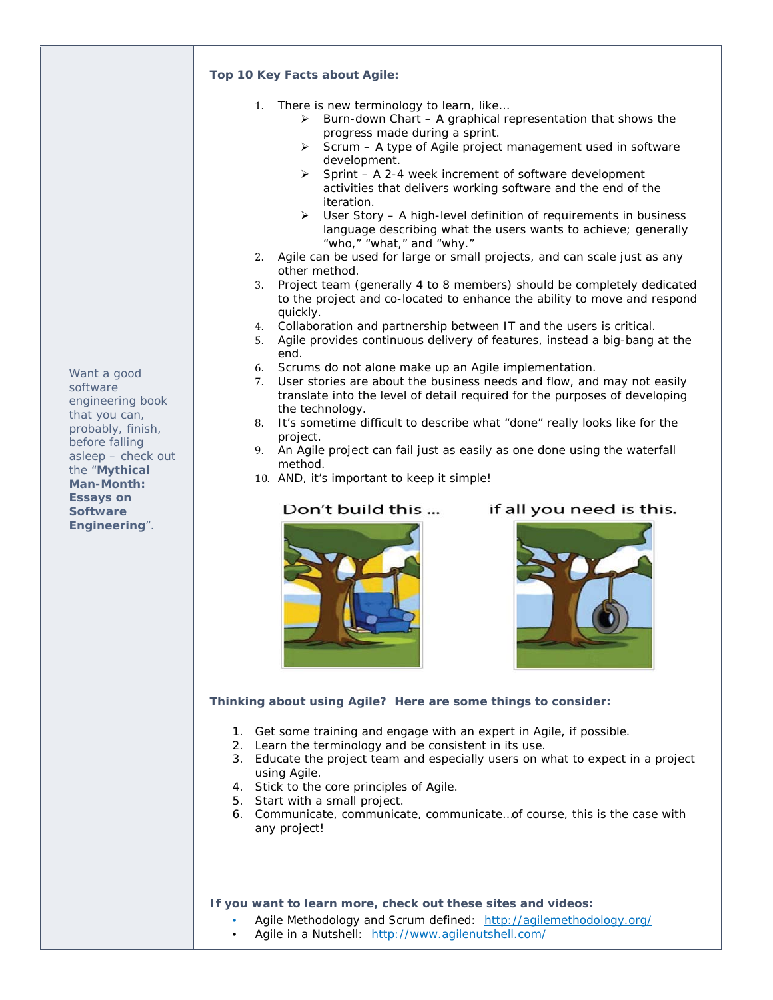#### **Top 10 Key Facts about Agile:**

- 1. There is new terminology to learn, like…
	- $\triangleright$  Burn-down Chart A graphical representation that shows the progress made during a sprint.
	- $\triangleright$  Scrum A type of Agile project management used in software development.
	- $\triangleright$  Sprint A 2-4 week increment of software development activities that delivers working software and the end of the iteration.
	- $\triangleright$  User Story A high-level definition of requirements in business language describing what the users wants to achieve; generally "who," "what," and "why."
- 2. Agile can be used for large or small projects, and can scale just as any other method.
- 3. Project team (generally 4 to 8 members) should be completely dedicated to the project and co-located to enhance the ability to move and respond quickly.
- 4. Collaboration and partnership between IT and the users is critical.
- 5. Agile provides continuous delivery of features, instead a big-bang at the end.
- 6. Scrums do not alone make up an Agile implementation.
- 7. User stories are about the business needs and flow, and may not easily translate into the level of detail required for the purposes of developing the technology.
- 8. It's sometime difficult to describe what "done" really looks like for the project.
- 9. An Agile project can fail just as easily as one done using the waterfall method.
- 10. AND, it's important to keep it simple!

## Don't build this ...

if all you need is this.





## **Thinking about using Agile? Here are some things to consider:**

- 1. Get some training and engage with an expert in Agile, if possible.
- 2. Learn the terminology and be consistent in its use.
- 3. Educate the project team and especially users on what to expect in a project using Agile.
- 4. Stick to the core principles of Agile.
- 5. Start with a small project.
- 6. Communicate, communicate, communicate…of course, this is the case with any project!

#### **If you want to learn more, check out these sites and videos:**

- Agile Methodology and Scrum defined: http://agilemethodology.org/
- Agile in a Nutshell: http://www.agilenutshell.com/

*Want a good software engineering book that you can, probably, finish, before falling asleep – check out the "Mythical Man-Month: Essays on Software Engineering".*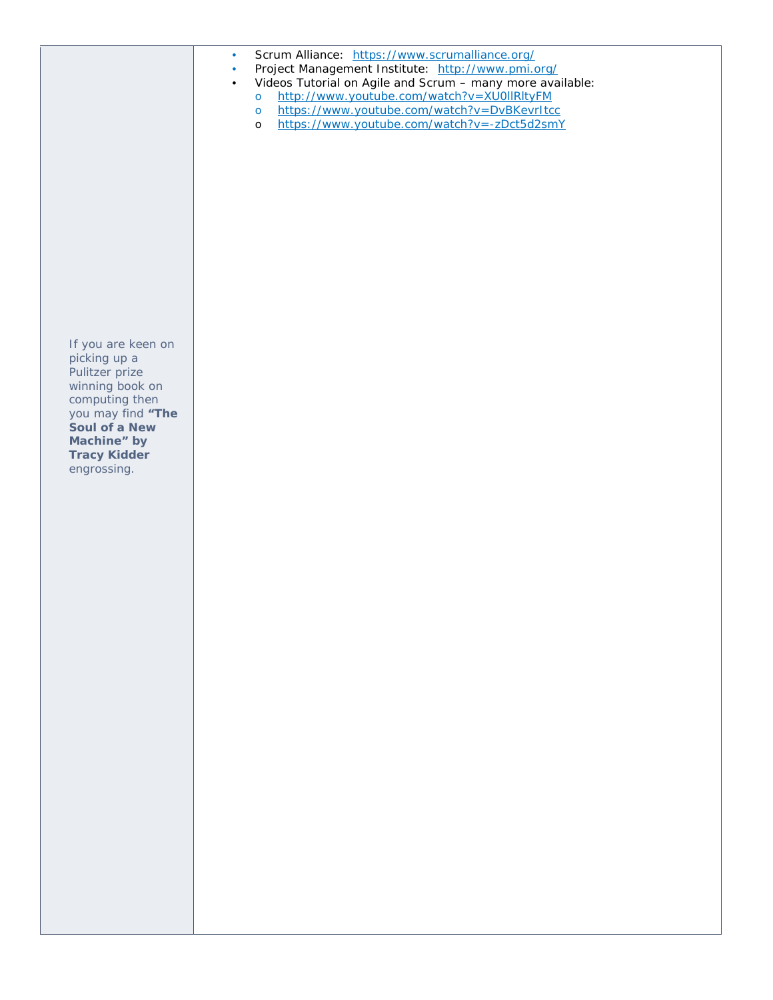|                                                                                                                                                                                      | Scrum Alliance: https://www.scrumalliance.org/<br>$\bullet$<br>Project Management Institute: http://www.pmi.org/<br>$\bullet$<br>Videos Tutorial on Agile and Scrum - many more available:<br>$\bullet$<br>http://www.youtube.com/watch?v=XU0IIRItyFM<br>$\circ$<br>https://www.youtube.com/watch?v=DvBKevrItcc<br>$\circ$<br>https://www.youtube.com/watch?v=-zDct5d2smY<br>$\circ$ |
|--------------------------------------------------------------------------------------------------------------------------------------------------------------------------------------|--------------------------------------------------------------------------------------------------------------------------------------------------------------------------------------------------------------------------------------------------------------------------------------------------------------------------------------------------------------------------------------|
| If you are keen on<br>picking up a<br>Pulitzer prize<br>winning book on<br>computing then<br>you may find "The<br>Soul of a New<br>Machine" by<br><b>Tracy Kidder</b><br>engrossing. |                                                                                                                                                                                                                                                                                                                                                                                      |
|                                                                                                                                                                                      |                                                                                                                                                                                                                                                                                                                                                                                      |
|                                                                                                                                                                                      |                                                                                                                                                                                                                                                                                                                                                                                      |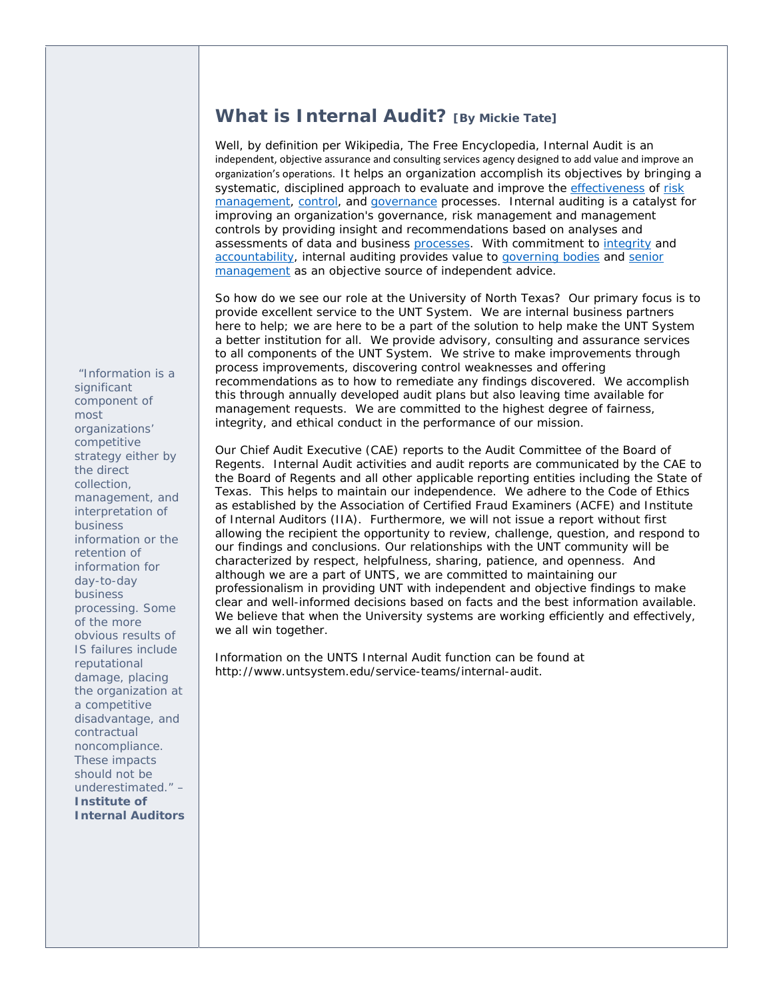## **What is Internal Audit? [By Mickie Tate]**

Well, by definition per *Wikipedia, The Free Encyclopedia*, Internal Audit is an independent, objective assurance and consulting services agency designed to add value and improve an organization's operations. It helps an organization accomplish its objectives by bringing a systematic, disciplined approach to evaluate and improve the effectiveness of risk management, control, and governance processes. Internal auditing is a catalyst for improving an organization's governance, risk management and management controls by providing insight and recommendations based on analyses and assessments of data and business processes. With commitment to integrity and accountability, internal auditing provides value to governing bodies and senior management as an objective source of independent advice.

So how do we see our role at the University of North Texas? Our primary focus is to provide excellent service to the UNT System. We are internal business partners here to help; we are here to be a part of the solution to help make the UNT System a better institution for all. We provide advisory, consulting and assurance services to all components of the UNT System. We strive to make improvements through process improvements, discovering control weaknesses and offering recommendations as to how to remediate any findings discovered. We accomplish this through annually developed audit plans but also leaving time available for management requests. We are committed to the highest degree of fairness, integrity, and ethical conduct in the performance of our mission.

Our Chief Audit Executive (CAE) reports to the Audit Committee of the Board of Regents. Internal Audit activities and audit reports are communicated by the CAE to the Board of Regents and all other applicable reporting entities including the State of Texas. This helps to maintain our independence. We adhere to the Code of Ethics as established by the Association of Certified Fraud Examiners (ACFE) and Institute of Internal Auditors (IIA). Furthermore, we will not issue a report without first allowing the recipient the opportunity to review, challenge, question, and respond to our findings and conclusions. Our relationships with the UNT community will be characterized by respect, helpfulness, sharing, patience, and openness. And although we are a part of UNTS, we are committed to maintaining our professionalism in providing UNT with independent and objective findings to make clear and well-informed decisions based on facts and the best information available. We believe that when the University systems are working efficiently and effectively, we all win together.

Information on the UNTS Internal Audit function can be found at http://www.untsystem.edu/service-teams/internal-audit.

 *"Information is a significant component of most organizations' competitive strategy either by the direct collection, management, and interpretation of business information or the retention of information for day-to-day business processing. Some of the more obvious results of IS failures include reputational damage, placing the organization at a competitive disadvantage, and contractual noncompliance. These impacts should not be underestimated." – Institute of Internal Auditors*